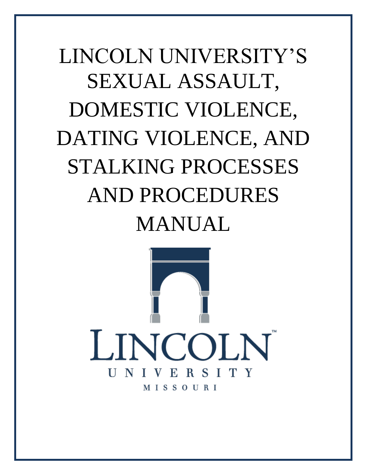# LINCOLN UNIVERSITY'S SEXUAL ASSAULT, DOMESTIC VIOLENCE, DATING VIOLENCE, AND STALKING PROCESSES AND PROCEDURES MANUAL

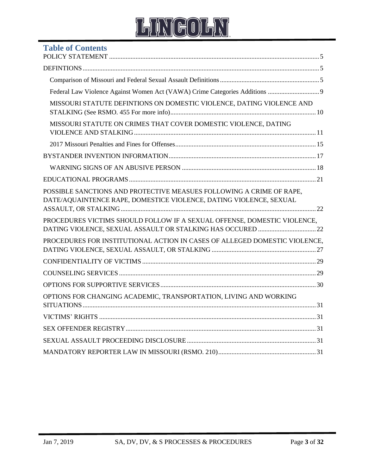## <u>NGOL N</u>  $\mathbb{H}^0$

| <b>Table of Contents</b>      |  |
|-------------------------------|--|
| <b>BAY YAYY AM LEEL CHAIR</b> |  |

| MISSOURI STATUTE DEFINTIONS ON DOMESTIC VIOLENCE, DATING VIOLENCE AND                                                                      |  |
|--------------------------------------------------------------------------------------------------------------------------------------------|--|
| MISSOURI STATUTE ON CRIMES THAT COVER DOMESTIC VIOLENCE, DATING                                                                            |  |
|                                                                                                                                            |  |
|                                                                                                                                            |  |
|                                                                                                                                            |  |
|                                                                                                                                            |  |
| POSSIBLE SANCTIONS AND PROTECTIVE MEASUES FOLLOWING A CRIME OF RAPE,<br>DATE/AQUAINTENCE RAPE, DOMESTICE VIOLENCE, DATING VIOLENCE, SEXUAL |  |
| PROCEDURES VICTIMS SHOULD FOLLOW IF A SEXUAL OFFENSE, DOMESTIC VIOLENCE,                                                                   |  |
| PROCEDURES FOR INSTITUTIONAL ACTION IN CASES OF ALLEGED DOMESTIC VIOLENCE.                                                                 |  |
|                                                                                                                                            |  |
|                                                                                                                                            |  |
|                                                                                                                                            |  |
| OPTIONS FOR CHANGING ACADEMIC, TRANSPORTATION, LIVING AND WORKING                                                                          |  |
|                                                                                                                                            |  |
|                                                                                                                                            |  |
|                                                                                                                                            |  |
|                                                                                                                                            |  |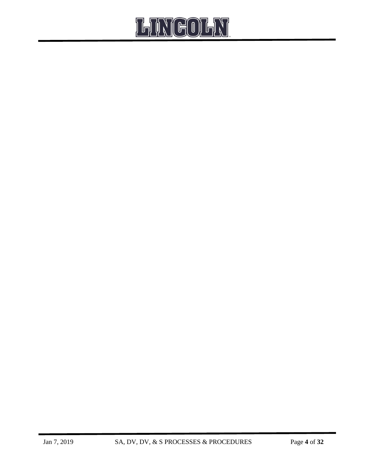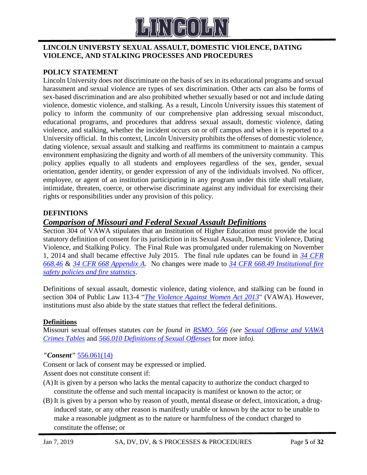

## **LINCOLN UNIVERSTY SEXUAL ASSAULT, DOMESTIC VIOLENCE, DATING VIOLENCE, AND STALKING PROCESSES AND PROCEDURES**

## <span id="page-4-0"></span>**POLICY STATEMENT**

Lincoln University does not discriminate on the basis of sex in its educational programs and sexual harassment and sexual violence are types of sex discrimination. Other acts can also be forms of sex-based discrimination and are also prohibited whether sexually based or not and include dating violence, domestic violence, and stalking. As a result, Lincoln University issues this statement of policy to inform the community of our comprehensive plan addressing sexual misconduct, educational programs, and procedures that address sexual assault, domestic violence, dating violence, and stalking, whether the incident occurs on or off campus and when it is reported to a University official. In this context, Lincoln University prohibits the offenses of domestic violence, dating violence, sexual assault and stalking and reaffirms its commitment to maintain a campus environment emphasizing the dignity and worth of all members of the university community. This policy applies equally to all students and employees regardless of the sex, gender, sexual orientation, gender identity, or gender expression of any of the individuals involved. No officer, employee, or agent of an institution participating in any program under this title shall retaliate, intimidate, threaten, coerce, or otherwise discriminate against any individual for exercising their rights or responsibilities under any provision of this policy.

## <span id="page-4-1"></span>**DEFINTIONS**

## <span id="page-4-2"></span>*Comparison of Missouri and Federal Sexual Assault Definitions*

Section 304 of VAWA stipulates that an Institution of Higher Education must provide the local statutory definition of consent for its jurisdiction in its Sexual Assault, Domestic Violence, Dating Violence, and Stalking Policy. The Final Rule was promulgated under rulemaking on November 1, 2014 and shall became effective July 2015. The final rule updates can be found in *[34 CFR](http://www.ecfr.gov/cgi-bin/text-idx?SID=ceb22e7c07700351c5c0530911b60a35&mc=true&node=se34.3.668_146&rgn=div8)  [668.46](http://www.ecfr.gov/cgi-bin/text-idx?SID=ceb22e7c07700351c5c0530911b60a35&mc=true&node=se34.3.668_146&rgn=div8)* & *[34 CFR 668 Appendix A](http://www.ecfr.gov/cgi-bin/retrieveECFR?gp=&SID=a6d839950aa20c40f01cd3db9dfccc9f&mc=true&n=pt34.3.668&r=PART&ty=HTML#ap34.3.668_150.a)*. No changes were made to *[34 CFR 668.49 Institutional fire](http://www.ecfr.gov/cgi-bin/text-idx?SID=ceb22e7c07700351c5c0530911b60a35&mc=true&node=se34.3.668_149&rgn=div8)  [safety policies and fire statistics](http://www.ecfr.gov/cgi-bin/text-idx?SID=ceb22e7c07700351c5c0530911b60a35&mc=true&node=se34.3.668_149&rgn=div8)*.

Definitions of sexual assault, domestic violence, dating violence, and stalking can be found in section 304 of Public Law 113-4 "*[The Violence Against Women Act 2013](http://www.gpo.gov/fdsys/pkg/PLAW-113publ4/pdf/PLAW-113publ4.pdf)*" (VAWA). However, institutions must also abide by the state statues that reflect the federal definitions.

#### **Definitions**

Missouri sexual offenses statutes *can be found in [RSMO. 566](http://revisor.mo.gov/main/PageSelect.aspx?chapter=566) (see [Sexual Offense and VAWA](https://bluetigerportal.lincolnu.edu/c/document_library/get_file?p_l_id=142227&folderId=2878707&name=DLFE-19208.pdf)  [Crimes Tables](https://bluetigerportal.lincolnu.edu/c/document_library/get_file?p_l_id=142227&folderId=2878707&name=DLFE-19208.pdf)* and *[566.010 Definitions of Sexual Offenses](http://revisor.mo.gov/main/PageSelect.aspx?section=566.010&bid=29380&hl=)* for more info*)*.

## *"Consent"* [556.061\(14\)](http://revisor.mo.gov/main/OneSection.aspx?section=556.061&bid=29054&hl=)

Consent or lack of consent may be expressed or implied. Assent does not constitute consent if:

- (A)It is given by a person who lacks the mental capacity to authorize the conduct charged to constitute the offense and such mental incapacity is manifest or known to the actor; or
- (B) It is given by a person who by reason of youth, mental disease or defect, intoxication, a druginduced state, or any other reason is manifestly unable or known by the actor to be unable to make a reasonable judgment as to the nature or harmfulness of the conduct charged to constitute the offense; or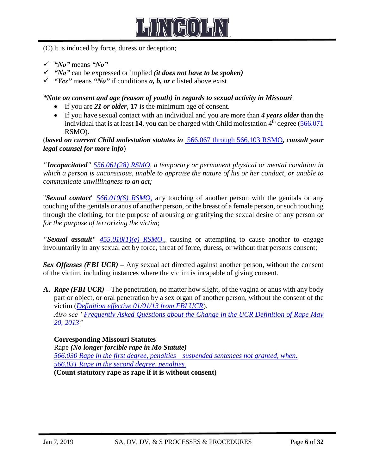

(C) It is induced by force, duress or deception;

- *"No"* means *"No"*
- *"No"* can be expressed or implied *(it does not have to be spoken)*
- *"Yes"* means *"No"* if conditions *a, b, or c* listed above exist

## *\*Note on consent and age (reason of youth) in regards to sexual activity in Missouri*

- If you are *21 or older*, **17** is the minimum age of consent.
- If you have sexual contact with an individual and you are more than *4 years older* than the individual that is at least  $14$ , you can be charged with Child molestation  $4<sup>th</sup>$  degree [\(566.071](http://revisor.mo.gov/main/PageSelect.aspx?section=566.071&bid=29411&hl=)) RSMO).

(*based on current Child molestation statutes in* [566.067 through 566.103 RSMO](http://revisor.mo.gov/main/PageSelect.aspx?chapter=566)*, consult your legal counsel for more info*)

*"Incapacitated" [556.061\(28\) RSMO,](http://revisor.mo.gov/main/PageSelect.aspx?section=566.010&bid=29380&hl=) a temporary or permanent physical or mental condition in which a person is unconscious, unable to appraise the nature of his or her conduct, or unable to communicate unwillingness to an act;*

"*Sexual contact*" *[566.010\(6\)](http://revisor.mo.gov/main/PageSelect.aspx?section=566.010&bid=29380&hl=) RSMO,* any touching of another person with the genitals or any touching of the genitals or anus of another person, or the breast of a female person, or such touching through the clothing, for the purpose of arousing or gratifying the sexual desire of any person *or for the purpose of terrorizing the victim*;

*"Sexual assault" [455.010\(1\)\(e\) RSMO.,](http://revisor.mo.gov/main/PageSelect.aspx?section=455.010&bid=25526&hl=)* causing or attempting to cause another to engage involuntarily in any sexual act by force, threat of force, duress, or without that persons consent;

*Sex Offenses (FBI UCR) –* Any sexual act directed against another person, without the consent of the victim, including instances where the victim is incapable of giving consent.

**A.** *Rape (FBI UCR) –* The penetration, no matter how slight, of the vagina or anus with any body part or object, or oral penetration by a sex organ of another person, without the consent of the victim (*[Definition effective 01/01/13 from FBI UCR](http://www.fbi.gov/about-us/cjis/ucr/new-rape-fact-sheet)*). *Also see ["Frequently Asked Questions about the Change in the UCR Definition of Rape May](http://www.fbi.gov/about-us/cjis/ucr/recent-program-updates/new-rape-definition-frequently-asked-questions)  [20, 2013"](http://www.fbi.gov/about-us/cjis/ucr/recent-program-updates/new-rape-definition-frequently-asked-questions)* 

**Corresponding Missouri Statutes** Rape *(No longer forcible rape in Mo Statute) [566.030 Rape in the first degree, penalties—suspended sentences not granted, when.](http://revisor.mo.gov/main/PageSelect.aspx?section=566.030&bid=29388&hl=) [566.031 Rape in the second degree, penalties.](http://revisor.mo.gov/main/PageSelect.aspx?section=566.031&bid=29390&hl=)*

**(Count statutory rape as rape if it is without consent)**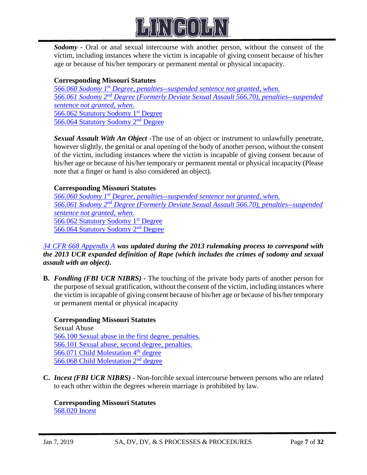

*Sodomy -* Oral or anal sexual intercourse with another person, without the consent of the victim, including instances where the victim is incapable of giving consent because of his/her age or because of his/her temporary or permanent mental or physical incapacity.

## **Corresponding Missouri Statutes**

*566.060 Sodomy 1st [Degree, penalties--suspended sentence not granted, when.](http://revisor.mo.gov/main/PageSelect.aspx?section=566.060&bid=29397&hl=) 566.061 Sodomy 2nd [Degree \(Formerly Deviate Sexual Assault 566.70\), penalties--suspended](http://revisor.mo.gov/main/PageSelect.aspx?section=566.061&bid=29399&hl=)  [sentence not granted, when.](http://revisor.mo.gov/main/PageSelect.aspx?section=566.061&bid=29399&hl=)* [566.062 Statutory Sodomy 1](http://revisor.mo.gov/main/PageSelect.aspx?section=566.062&bid=29401&hl=)<sup>st</sup> Degree [566.064 Statutory Sodomy 2](http://revisor.mo.gov/main/PageSelect.aspx?section=566.064&bid=29403&hl=)nd Degree

*Sexual Assault With An Object -*The use of an object or instrument to unlawfully penetrate, however slightly, the genital or anal opening of the body of another person, without the consent of the victim, including instances where the victim is incapable of giving consent because of his/her age or because of his/her temporary or permanent mental or physical incapacity (Please note that a finger or hand is also considered an object).

## **Corresponding Missouri Statutes**

*566.060 Sodomy 1st [Degree, penalties--suspended sentence not granted, when.](http://revisor.mo.gov/main/PageSelect.aspx?section=566.060&bid=29397&hl=) 566.061 Sodomy 2nd [Degree \(Formerly Deviate Sexual Assault 566.70\), penalties--suspended](http://revisor.mo.gov/main/PageSelect.aspx?section=566.061&bid=29399&hl=)  [sentence not granted, when.](http://revisor.mo.gov/main/PageSelect.aspx?section=566.061&bid=29399&hl=)* [566.062 Statutory Sodomy 1](http://revisor.mo.gov/main/PageSelect.aspx?section=566.062&bid=29401&hl=)<sup>st</sup> Degree [566.064 Statutory Sodomy](http://revisor.mo.gov/main/PageSelect.aspx?section=566.064&bid=29403&hl=) 2<sup>nd</sup> Degree

## *[34 CFR 668 Appendix A](http://www.ecfr.gov/cgi-bin/text-idx?SID=ceb22e7c07700351c5c0530911b60a35&mc=true&node=ap34.3.668_149.a&rgn=div9) was updated during the 2013 rulemaking process to correspond with the 2013 UCR expanded definition of Rape (which includes the crimes of sodomy and sexual assault with an object).*

**B.** *Fondling (FBI UCR NIBRS) -* The touching of the private body parts of another person for the purpose of sexual gratification, without the consent of the victim, including instances where the victim is incapable of giving consent because of his/her age or because of his/her temporary or permanent mental or physical incapacity

## **Corresponding Missouri Statutes**

 Sexual Abuse [566.100 Sexual abuse in the first degree, penalties.](http://revisor.mo.gov/main/PageSelect.aspx?section=566.100&bid=29420&hl=) [566.101 Sexual abuse, second degree, penalties.](http://revisor.mo.gov/main/PageSelect.aspx?section=566.101&bid=29422&hl=) 566.071 [Child Molestation 4](http://revisor.mo.gov/main/PageSelect.aspx?section=566.071&bid=29411&hl=)<sup>th</sup> degree [566.068 Child Molestation 2](http://revisor.mo.gov/main/PageSelect.aspx?section=566.068&bid=29407&hl=)nd degree

**C.** *Incest (FBI UCR NIBRS) -* Non-forcible sexual intercourse between persons who are related to each other within the degrees wherein marriage is prohibited by law.

**Corresponding Missouri Statutes** [568.020 Incest](http://revisor.mo.gov/main/PageSelect.aspx?section=568.020&bid=29500&hl=)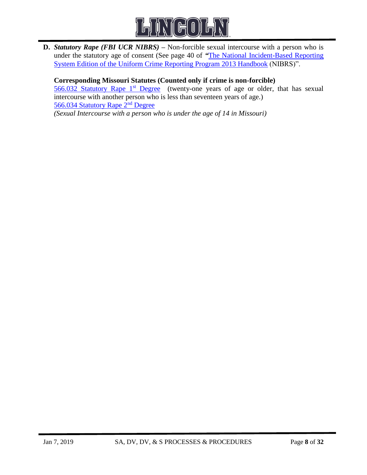

**D.** *Statutory Rape (FBI UCR NIBRS)* – Non-forcible sexual intercourse with a person who is under the statutory age of consent (See page 40 of *"*[The National Incident-Based Reporting](http://www.fbi.gov/about-us/cjis/ucr/nibrs/nibrs-user-manual)  [System Edition of the Uniform Crime Reporting Program 2013 Handbook](http://www.fbi.gov/about-us/cjis/ucr/nibrs/nibrs-user-manual) (NIBRS)".

## **Corresponding Missouri Statutes (Counted only if crime is non-forcible)**

[566.032 Statutory Rape 1](http://revisor.mo.gov/main/PageSelect.aspx?section=566.032&bid=29392&hl=)st Degree (twenty-one years of age or older, that has sexual intercourse with another person who is less than seventeen years of age.) [566.034 Statutory Rape 2](http://revisor.mo.gov/main/PageSelect.aspx?section=566.034&bid=29394&hl=)nd Degree

*(Sexual Intercourse with a person who is under the age of 14 in Missouri)*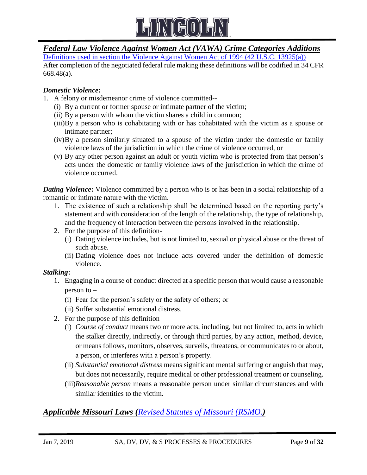

<span id="page-8-0"></span>*Federal Law Violence Against Women Act (VAWA) Crime Categories Additions* [Definitions used in section the Violence Against Women Act of 1994 \(42 U.S.C. 13925\(a\)\)](http://www.gpo.gov/fdsys/pkg/USCODE-2010-title42/pdf/USCODE-2010-title42-chap136-subchapIII-sec13925.pdf)

After completion of the negotiated federal rule making these definitions will be codified in 34 CFR 668.48(a).

## *Domestic Violence***:**

- 1. A felony or misdemeanor crime of violence committed--
	- (i) By a current or former spouse or intimate partner of the victim;
	- (ii) By a person with whom the victim shares a child in common;
	- (iii)By a person who is cohabitating with or has cohabitated with the victim as a spouse or intimate partner;
	- (iv)By a person similarly situated to a spouse of the victim under the domestic or family violence laws of the jurisdiction in which the crime of violence occurred, or
	- (v) By any other person against an adult or youth victim who is protected from that person's acts under the domestic or family violence laws of the jurisdiction in which the crime of violence occurred.

*Dating Violence*: Violence committed by a person who is or has been in a social relationship of a romantic or intimate nature with the victim.

- 1. The existence of such a relationship shall be determined based on the reporting party's statement and with consideration of the length of the relationship, the type of relationship, and the frequency of interaction between the persons involved in the relationship.
- 2. For the purpose of this definition-
	- (i) Dating violence includes, but is not limited to, sexual or physical abuse or the threat of such abuse.
	- (ii) Dating violence does not include acts covered under the definition of domestic violence.

## *Stalking***:**

- 1. Engaging in a course of conduct directed at a specific person that would cause a reasonable person to –
	- (i) Fear for the person's safety or the safety of others; or
	- (ii) Suffer substantial emotional distress.
- 2. For the purpose of this definition
	- (i) *Course of conduct* means two or more acts, including, but not limited to, acts in which the stalker directly, indirectly, or through third parties, by any action, method, device, or means follows, monitors, observes, surveils, threatens, or communicates to or about, a person, or interferes with a person's property.
	- (ii) *Substantial emotional distress* means significant mental suffering or anguish that may, but does not necessarily, require medical or other professional treatment or counseling.
	- (iii)*Reasonable person* means a reasonable person under similar circumstances and with similar identities to the victim.

## *Applicable Missouri Laws ([Revised Statutes of Missouri \(RSMO.](http://revisor.mo.gov/main/Home.aspx))*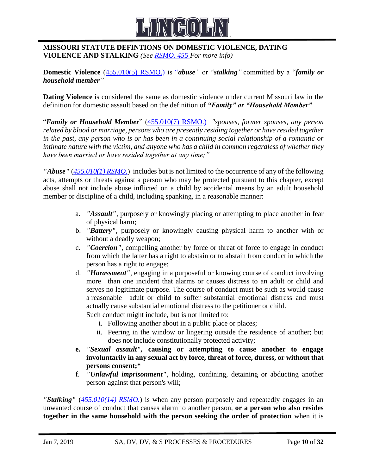

#### <span id="page-9-0"></span>**MISSOURI STATUTE DEFINTIONS ON DOMESTIC VIOLENCE, DATING VIOLENCE AND STALKING** *(See [RSMO. 455](http://revisor.mo.gov/main/PageSelect.aspx?chapter=455) For more info)*

**Domestic Violence** [\(455.010\(5\) RSMO.\)](http://revisor.mo.gov/main/PageSelect.aspx?section=455.010&bid=25526&hl=) is "*abuse"* or "*stalking"* committed by a "*family or household member"* 

**Dating Violence** is considered the same as domestic violence under current Missouri law in the definition for domestic assault based on the definition of *"Family" or "Household Member"*

"*Family or Household Member*" [\(455.010\(7\) RSMO.](http://revisor.mo.gov/main/PageSelect.aspx?section=455.010&bid=25526&hl=)) *"spouses, former spouses, any person related by blood or marriage, persons who are presently residing together or have resided together in the past, any person who is or has been in a continuing social relationship of a romantic or intimate nature with the victim, and anyone who has a child in common regardless of whether they have been married or have resided together at any time;"*

*"Abuse"* (*[455.010\(1\) RSMO.](http://revisor.mo.gov/main/PageSelect.aspx?section=455.010&bid=25526&hl=)*) includes but is not limited to the occurrence of any of the following acts, attempts or threats against a person who may be protected pursuant to this chapter, except abuse shall not include abuse inflicted on a child by accidental means by an adult household member or discipline of a child, including spanking, in a reasonable manner:

- a. *"Assault"*, purposely or knowingly placing or attempting to place another in fear of physical harm;
- b. *"Battery"*, purposely or knowingly causing physical harm to another with or without a deadly weapon;
- c. *"Coercion"*, compelling another by force or threat of force to engage in conduct from which the latter has a right to abstain or to abstain from conduct in which the person has a right to engage;
- d. *"Harassment"*, engaging in a purposeful or knowing course of conduct involving more than one incident that alarms or causes distress to an adult or child and serves no legitimate purpose. The course of conduct must be such as would cause a reasonable adult or child to suffer substantial emotional distress and must actually cause substantial emotional distress to the petitioner or child. Such conduct might include, but is not limited to:
	- i. Following another about in a public place or places;
	- ii. Peering in the window or lingering outside the residence of another; but does not include constitutionally protected activity;
- **e.** *"Sexual assault",* **causing or attempting to cause another to engage involuntarily in any sexual act by force, threat of force, duress, or without that persons consent;\***
- f. *"Unlawful imprisonment"*, holding, confining, detaining or abducting another person against that person's will;

*"Stalking"* (*[455.010\(14\)](http://revisor.mo.gov/main/PageSelect.aspx?section=455.010&bid=25526&hl=) RSMO.*) is when any person purposely and repeatedly engages in an unwanted course of conduct that causes alarm to another person, **or a person who also resides together in the same household with the person seeking the order of protection** when it is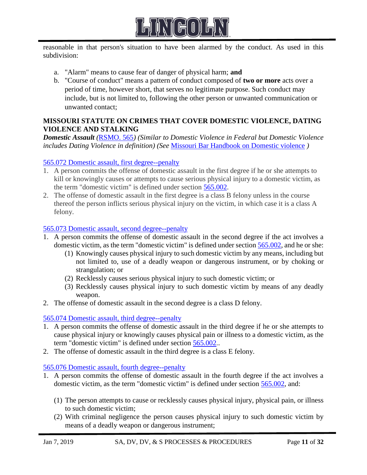

reasonable in that person's situation to have been alarmed by the conduct. As used in this subdivision:

- a. "Alarm" means to cause fear of danger of physical harm; **and**
- b. "Course of conduct" means a pattern of conduct composed of **two or more** acts over a period of time, however short, that serves no legitimate purpose. Such conduct may include, but is not limited to, following the other person or unwanted communication or unwanted contact;

## <span id="page-10-0"></span>**MISSOURI STATUTE ON CRIMES THAT COVER DOMESTIC VIOLENCE, DATING VIOLENCE AND STALKING**

*Domestic Assault (*[RSMO. 565](http://revisor.mo.gov/main/PageSelect.aspx?chapter=565)*) (Similar to Domestic Violence in Federal but Domestic Violence includes Dating Violence in definition) (See* [Missouri Bar Handbook on Domestic violence](http://www.mobar.org/uploadedFiles/Home/Publications/Legal_Resources/Brochures_and_Booklets/domestic-violence.pdf) *)*

## [565.072 Domestic assault, first degree--penalty](http://revisor.mo.gov/main/PageSelect.aspx?section=565.072&bid=29288&hl=)

- 1. A person commits the offense of domestic assault in the first degree if he or she attempts to kill or knowingly causes or attempts to cause serious physical injury to a domestic victim, as the term "domestic victim" is defined under section [565.002.](http://revisor.mo.gov/main/PageSelect.aspx?section=565.002&bid=29256&hl=)
- 2. The offense of domestic assault in the first degree is a class B felony unless in the course thereof the person inflicts serious physical injury on the victim, in which case it is a class A felony.

#### [565.073 Domestic assault, second degree--penalty](http://revisor.mo.gov/main/PageSelect.aspx?section=565.073&bid=29290&hl=)

- 1. A person commits the offense of domestic assault in the second degree if the act involves a domestic victim, as the term "domestic victim" is defined under section [565.002,](http://revisor.mo.gov/main/PageSelect.aspx?section=565.002&bid=29256&hl=) and he or she:
	- (1) Knowingly causes physical injury to such domestic victim by any means, including but not limited to, use of a deadly weapon or dangerous instrument, or by choking or strangulation; or
	- (2) Recklessly causes serious physical injury to such domestic victim; or
	- (3) Recklessly causes physical injury to such domestic victim by means of any deadly weapon.
- 2. The offense of domestic assault in the second degree is a class D felony.

## [565.074 Domestic assault, third degree--penalty](http://revisor.mo.gov/main/PageSelect.aspx?section=565.074&bid=29292&hl=)

- 1. A person commits the offense of domestic assault in the third degree if he or she attempts to cause physical injury or knowingly causes physical pain or illness to a domestic victim, as the term "domestic victim" is defined under section [565.002.](http://revisor.mo.gov/main/PageSelect.aspx?section=565.002&bid=29256&hl=).
- 2. The offense of domestic assault in the third degree is a class E felony.

#### 565.076 [Domestic assault, fourth](http://revisor.mo.gov/main/PageSelect.aspx?section=565.076&bid=29296&hl=) degree--penalty

- 1. A person commits the offense of domestic assault in the fourth degree if the act involves a domestic victim, as the term "domestic victim" is defined under section [565.002,](http://revisor.mo.gov/main/PageSelect.aspx?section=565.002&bid=29256&hl=) and:
	- (1) The person attempts to cause or recklessly causes physical injury, physical pain, or illness to such domestic victim;
	- (2) With criminal negligence the person causes physical injury to such domestic victim by means of a deadly weapon or dangerous instrument;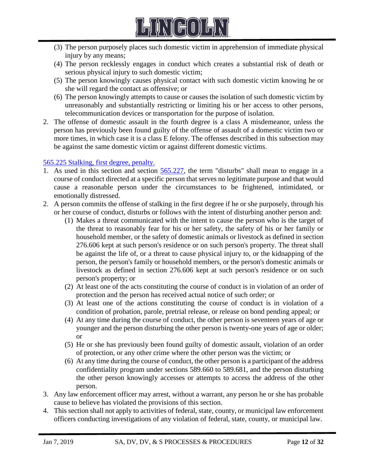

- (3) The person purposely places such domestic victim in apprehension of immediate physical injury by any means;
- (4) The person recklessly engages in conduct which creates a substantial risk of death or serious physical injury to such domestic victim;
- (5) The person knowingly causes physical contact with such domestic victim knowing he or she will regard the contact as offensive; or
- (6) The person knowingly attempts to cause or causes the isolation of such domestic victim by unreasonably and substantially restricting or limiting his or her access to other persons, telecommunication devices or transportation for the purpose of isolation.
- 2. The offense of domestic assault in the fourth degree is a class A misdemeanor, unless the person has previously been found guilty of the offense of assault of a domestic victim two or more times, in which case it is a class E felony. The offenses described in this subsection may be against the same domestic victim or against different domestic victims.

## [565.225 Stalking, first degree, penalty.](http://revisor.mo.gov/main/PageSelect.aspx?section=565.225&bid=33201&hl=)

- 1. As used in this section and section [565.227,](http://revisor.mo.gov/main/PageSelect.aspx?section=565.227&bid=29367&hl=) the term "disturbs" shall mean to engage in a course of conduct directed at a specific person that serves no legitimate purpose and that would cause a reasonable person under the circumstances to be frightened, intimidated, or emotionally distressed.
- 2. A person commits the offense of stalking in the first degree if he or she purposely, through his or her course of conduct, disturbs or follows with the intent of disturbing another person and:
	- (1) Makes a threat communicated with the intent to cause the person who is the target of the threat to reasonably fear for his or her safety, the safety of his or her family or household member, or the safety of domestic animals or livestock as defined in section 276.606 kept at such person's residence or on such person's property. The threat shall be against the life of, or a threat to cause physical injury to, or the kidnapping of the person, the person's family or household members, or the person's domestic animals or livestock as defined in section 276.606 kept at such person's residence or on such person's property; or
	- (2) At least one of the acts constituting the course of conduct is in violation of an order of protection and the person has received actual notice of such order; or
	- (3) At least one of the actions constituting the course of conduct is in violation of a condition of probation, parole, pretrial release, or release on bond pending appeal; or
	- (4) At any time during the course of conduct, the other person is seventeen years of age or younger and the person disturbing the other person is twenty-one years of age or older; or
	- (5) He or she has previously been found guilty of domestic assault, violation of an order of protection, or any other crime where the other person was the victim; or
	- (6) At any time during the course of conduct, the other person is a participant of the address confidentiality program under sections 589.660 to 589.681, and the person disturbing the other person knowingly accesses or attempts to access the address of the other person.
- 3. Any law enforcement officer may arrest, without a warrant, any person he or she has probable cause to believe has violated the provisions of this section.
- 4. This section shall not apply to activities of federal, state, county, or municipal law enforcement officers conducting investigations of any violation of federal, state, county, or municipal law.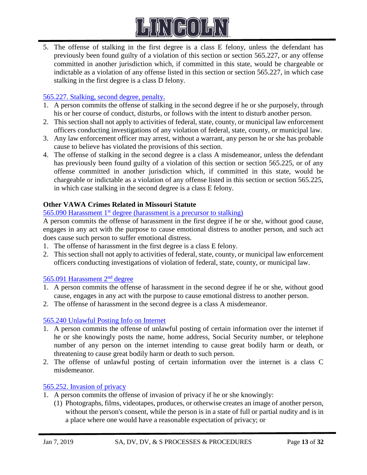

5. The offense of stalking in the first degree is a class E felony, unless the defendant has previously been found guilty of a violation of this section or section 565.227, or any offense committed in another jurisdiction which, if committed in this state, would be chargeable or indictable as a violation of any offense listed in this section or section 565.227, in which case stalking in the first degree is a class D felony.

## [565.227. Stalking, second degree, penalty.](http://revisor.mo.gov/main/PageSelect.aspx?section=565.227&bid=29367&hl=)

- 1. A person commits the offense of stalking in the second degree if he or she purposely, through his or her course of conduct, disturbs, or follows with the intent to disturb another person.
- 2. This section shall not apply to activities of federal, state, county, or municipal law enforcement officers conducting investigations of any violation of federal, state, county, or municipal law.
- 3. Any law enforcement officer may arrest, without a warrant, any person he or she has probable cause to believe has violated the provisions of this section.
- 4. The offense of stalking in the second degree is a class A misdemeanor, unless the defendant has previously been found guilty of a violation of this section or section 565.225, or of any offense committed in another jurisdiction which, if committed in this state, would be chargeable or indictable as a violation of any offense listed in this section or section 565.225, in which case stalking in the second degree is a class E felony.

## **Other VAWA Crimes Related in Missouri Statute**

## 565.090 Harassment  $1<sup>st</sup>$  [degree \(harassment is a precursor to stalking\)](http://revisor.mo.gov/main/PageSelect.aspx?section=565.090&bid=29308&hl=)

A person commits the offense of harassment in the first degree if he or she, without good cause, engages in any act with the purpose to cause emotional distress to another person, and such act does cause such person to suffer emotional distress.

- 1. The offense of harassment in the first degree is a class E felony.
- 2. This section shall not apply to activities of federal, state, county, or municipal law enforcement officers conducting investigations of violation of federal, state, county, or municipal law.

## [565.091 Harassment 2](http://revisor.mo.gov/main/PageSelect.aspx?section=565.091&bid=29310&hl=)nd degree

- 1. A person commits the offense of harassment in the second degree if he or she, without good cause, engages in any act with the purpose to cause emotional distress to another person.
- 2. The offense of harassment in the second degree is a class A misdemeanor.

## [565.240 Unlawful Posting Info on Internet](http://revisor.mo.gov/main/PageSelect.aspx?section=565.240&bid=29368&hl=)

- 1. A person commits the offense of unlawful posting of certain information over the internet if he or she knowingly posts the name, home address, Social Security number, or telephone number of any person on the internet intending to cause great bodily harm or death, or threatening to cause great bodily harm or death to such person.
- 2. The offense of unlawful posting of certain information over the internet is a class C misdemeanor.

## [565.252. Invasion of privacy](http://revisor.mo.gov/main/PageSelect.aspx?section=565.252&bid=29371&hl=)

- 1. A person commits the offense of invasion of privacy if he or she knowingly:
	- (1) Photographs, films, videotapes, produces, or otherwise creates an image of another person, without the person's consent, while the person is in a state of full or partial nudity and is in a place where one would have a reasonable expectation of privacy; or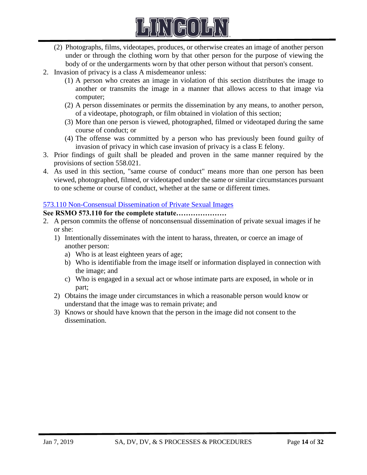

- (2) Photographs, films, videotapes, produces, or otherwise creates an image of another person under or through the clothing worn by that other person for the purpose of viewing the body of or the undergarments worn by that other person without that person's consent.
- 2. Invasion of privacy is a class A misdemeanor unless:
	- (1) A person who creates an image in violation of this section distributes the image to another or transmits the image in a manner that allows access to that image via computer;
	- (2) A person disseminates or permits the dissemination by any means, to another person, of a videotape, photograph, or film obtained in violation of this section;
	- (3) More than one person is viewed, photographed, filmed or videotaped during the same course of conduct; or
	- (4) The offense was committed by a person who has previously been found guilty of invasion of privacy in which case invasion of privacy is a class E felony.
- 3. Prior findings of guilt shall be pleaded and proven in the same manner required by the provisions of section 558.021.
- 4. As used in this section, "same course of conduct" means more than one person has been viewed, photographed, filmed, or videotaped under the same or similar circumstances pursuant to one scheme or course of conduct, whether at the same or different times.

## [573.110 Non-Consensual Dissemination of Private Sexual Images](http://revisor.mo.gov/main/OneSection.aspx?section=573.110&bid=34865&hl=)

## **See RSMO 573.110 for the complete statute…………………**

- 2. A person commits the offense of nonconsensual dissemination of private sexual images if he or she:
	- 1) Intentionally disseminates with the intent to harass, threaten, or coerce an image of another person:
		- a) Who is at least eighteen years of age;
		- b) Who is identifiable from the image itself or information displayed in connection with the image; and
		- c) Who is engaged in a sexual act or whose intimate parts are exposed, in whole or in part;
	- 2) Obtains the image under circumstances in which a reasonable person would know or understand that the image was to remain private; and
	- 3) Knows or should have known that the person in the image did not consent to the dissemination.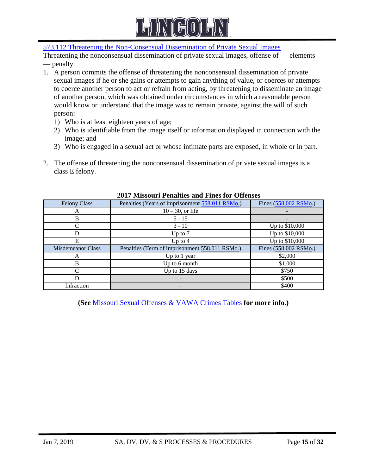

## [573.112 Threatening the Non-Consensual Dissemination of Private Sexual Images](http://revisor.mo.gov/main/OneSection.aspx?section=573.112&bid=34866&hl=)

Threatening the nonconsensual dissemination of private sexual images, offense of — elements — penalty.

- 1. A person commits the offense of threatening the nonconsensual dissemination of private sexual images if he or she gains or attempts to gain anything of value, or coerces or attempts to coerce another person to act or refrain from acting, by threatening to disseminate an image of another person, which was obtained under circumstances in which a reasonable person would know or understand that the image was to remain private, against the will of such person:
	- 1) Who is at least eighteen years of age;
	- 2) Who is identifiable from the image itself or information displayed in connection with the image; and
	- 3) Who is engaged in a sexual act or whose intimate parts are exposed, in whole or in part.
- 2. The offense of threatening the nonconsensual dissemination of private sexual images is a class E felony.

<span id="page-14-0"></span>

| <b>Felony Class</b> | Penalties (Years of imprisonment 558.011 RSMo.) | Fines (558.002 RSMo.) |
|---------------------|-------------------------------------------------|-----------------------|
| А                   | $10 - 30$ , or life                             |                       |
| В                   | $5 - 15$                                        |                       |
|                     | $3 - 10$                                        | Up to \$10,000        |
| D                   | Up to $7$                                       | Up to \$10,000        |
| Е                   | Up to $4$                                       | Up to \$10,000        |
| Misdemeanor Class   | Penalties (Term of imprisonment 558.011 RSMo.)  | Fines (558.002 RSMo.) |
| A                   | Up to 1 year                                    | \$2,000               |
| B                   | Up to 6 month                                   | \$1.000               |
| $\subset$           | Up to 15 days                                   | \$750                 |
| D                   |                                                 | \$500                 |
| Infraction          | -                                               | \$400                 |

## **2017 Missouri Penalties and Fines for Offenses**

**(See** [Missouri Sexual Offenses & VAWA Crimes Tables](https://bluetigerportal.lincolnu.edu/c/document_library/get_file?p_l_id=142227&folderId=2878707&name=DLFE-19208.pdf) **for more info.)**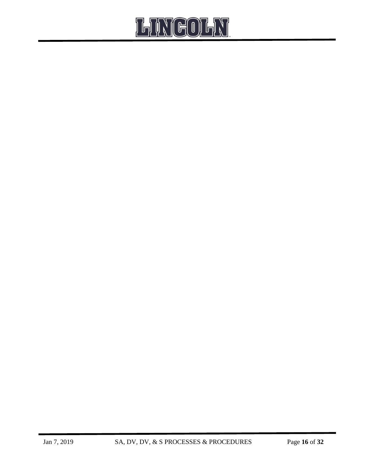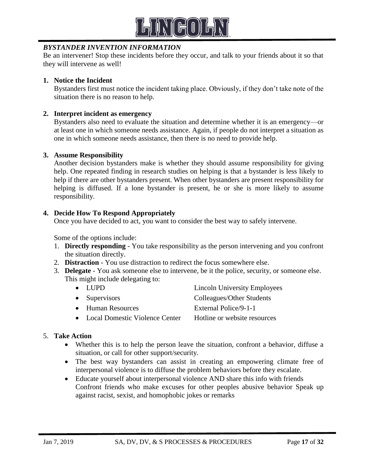

## <span id="page-16-0"></span>*BYSTANDER INVENTION INFORMATION*

Be an intervener! Stop these incidents before they occur, and talk to your friends about it so that they will intervene as well!

#### **1. Notice the Incident**

Bystanders first must notice the incident taking place. Obviously, if they don't take note of the situation there is no reason to help.

#### **2. Interpret incident as emergency**

Bystanders also need to evaluate the situation and determine whether it is an emergency—or at least one in which someone needs assistance. Again, if people do not interpret a situation as one in which someone needs assistance, then there is no need to provide help.

#### **3. Assume Responsibility**

Another decision bystanders make is whether they should assume responsibility for giving help. One repeated finding in research studies on helping is that a bystander is less likely to help if there are other bystanders present. When other bystanders are present responsibility for helping is diffused. If a lone bystander is present, he or she is more likely to assume responsibility.

#### **4. Decide How To Respond Appropriately**

Once you have decided to act, you want to consider the best way to safely intervene.

Some of the options include:

- 1. **Directly responding** You take responsibility as the person intervening and you confront the situation directly.
- 2. **Distraction** You use distraction to redirect the focus somewhere else.
- 3. **Delegate**  You ask someone else to intervene, be it the police, security, or someone else. This might include delegating to:

| $\bullet$ LUPD                   | <b>Lincoln University Employees</b> |
|----------------------------------|-------------------------------------|
| $\bullet$ Supervisors            | Colleagues/Other Students           |
| • Human Resources                | External Police/9-1-1               |
| • Local Domestic Violence Center | Hotline or website resources        |

#### 5. **Take Action**

- Whether this is to help the person leave the situation, confront a behavior, diffuse a situation, or call for other support/security.
- The best way bystanders can assist in creating an empowering climate free of interpersonal violence is to diffuse the problem behaviors before they escalate.
- Educate yourself about interpersonal violence AND share this info with friends Confront friends who make excuses for other peoples abusive behavior Speak up against racist, sexist, and homophobic jokes or remarks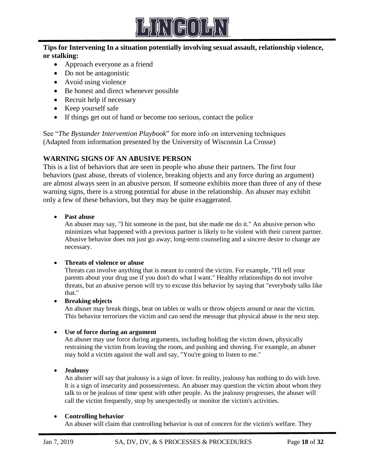

## **Tips for Intervening In a situation potentially involving sexual assault, relationship violence, or stalking:**

- Approach everyone as a friend
- Do not be antagonistic
- Avoid using violence
- Be honest and direct whenever possible
- Recruit help if necessary
- Keep yourself safe
- If things get out of hand or become too serious, contact the police

See "*The Bystander Intervention Playbook*" for more info on intervening techniques (Adapted from information presented by the University of Wisconsin La Crosse)

## <span id="page-17-0"></span>**WARNING SIGNS OF AN ABUSIVE PERSON**

This is a list of behaviors that are seen in people who abuse their partners. The first four behaviors (past abuse, threats of violence, breaking objects and any force during an argument) are almost always seen in an abusive person. If someone exhibits more than three of any of these warning signs, there is a strong potential for abuse in the relationship. An abuser may exhibit only a few of these behaviors, but they may be quite exaggerated.

#### **Past abuse**

An abuser may say, "I hit someone in the past, but she made me do it." An abusive person who minimizes what happened with a previous partner is likely to be violent with their current partner. Abusive behavior does not just go away; long-term counseling and a sincere desire to change are necessary.

#### **Threats of violence or abuse**

Threats can involve anything that is meant to control the victim. For example, "I'll tell your parents about your drug use if you don't do what I want." Healthy relationships do not involve threats, but an abusive person will try to excuse this behavior by saying that "everybody talks like that."

#### **Breaking objects**

An abuser may break things, beat on tables or walls or throw objects around or near the victim. This behavior terrorizes the victim and can send the message that physical abuse is the next step.

#### **Use of force during an argument**

An abuser may use force during arguments, including holding the victim down, physically restraining the victim from leaving the room, and pushing and shoving. For example, an abuser may hold a victim against the wall and say, "You're going to listen to me."

#### **Jealousy**

An abuser will say that jealousy is a sign of love. In reality, jealousy has nothing to do with love. It is a sign of insecurity and possessiveness. An abuser may question the victim about whom they talk to or be jealous of time spent with other people. As the jealousy progresses, the abuser will call the victim frequently, stop by unexpectedly or monitor the victim's activities.

#### **Controlling behavior**

An abuser will claim that controlling behavior is out of concern for the victim's welfare. They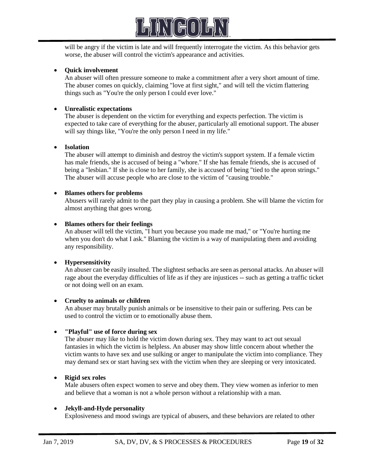

will be angry if the victim is late and will frequently interrogate the victim. As this behavior gets worse, the abuser will control the victim's appearance and activities.

#### **Quick involvement**

An abuser will often pressure someone to make a commitment after a very short amount of time. The abuser comes on quickly, claiming "love at first sight," and will tell the victim flattering things such as "You're the only person I could ever love."

#### **Unrealistic expectations**

The abuser is dependent on the victim for everything and expects perfection. The victim is expected to take care of everything for the abuser, particularly all emotional support. The abuser will say things like, "You're the only person I need in my life."

#### **Isolation**

The abuser will attempt to diminish and destroy the victim's support system. If a female victim has male friends, she is accused of being a "whore." If she has female friends, she is accused of being a "lesbian." If she is close to her family, she is accused of being "tied to the apron strings." The abuser will accuse people who are close to the victim of "causing trouble."

#### **Blames others for problems**

Abusers will rarely admit to the part they play in causing a problem. She will blame the victim for almost anything that goes wrong.

#### **Blames others for their feelings**

An abuser will tell the victim, "I hurt you because you made me mad," or "You're hurting me when you don't do what I ask." Blaming the victim is a way of manipulating them and avoiding any responsibility.

#### **Hypersensitivity**

An abuser can be easily insulted. The slightest setbacks are seen as personal attacks. An abuser will rage about the everyday difficulties of life as if they are injustices -- such as getting a traffic ticket or not doing well on an exam.

#### **Cruelty to animals or children**

An abuser may brutally punish animals or be insensitive to their pain or suffering. Pets can be used to control the victim or to emotionally abuse them.

#### **"Playful" use of force during sex**

The abuser may like to hold the victim down during sex. They may want to act out sexual fantasies in which the victim is helpless. An abuser may show little concern about whether the victim wants to have sex and use sulking or anger to manipulate the victim into compliance. They may demand sex or start having sex with the victim when they are sleeping or very intoxicated.

#### **Rigid sex roles**

Male abusers often expect women to serve and obey them. They view women as inferior to men and believe that a woman is not a whole person without a relationship with a man.

#### **Jekyll-and-Hyde personality**

Explosiveness and mood swings are typical of abusers, and these behaviors are related to other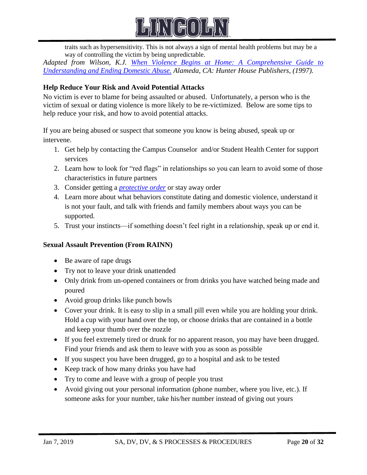

traits such as hypersensitivity. This is not always a sign of mental health problems but may be a way of controlling the victim by being unpredictable.

*Adapted from Wilson, K.J. [When Violence Begins at Home: A Comprehensive Guide to](http://books.google.com/books/about/When_violence_begins_at_home.html?id=YJJHAAAAMAAJ)  [Understanding and Ending Domestic Abuse.](http://books.google.com/books/about/When_violence_begins_at_home.html?id=YJJHAAAAMAAJ) Alameda, CA: Hunter House Publishers, (1997).*

## **Help Reduce Your Risk and Avoid Potential Attacks**

No victim is ever to blame for being assaulted or abused. Unfortunately, a person who is the victim of sexual or dating violence is more likely to be re-victimized. Below are some tips to help reduce your risk, and how to avoid potential attacks.

If you are being abused or suspect that someone you know is being abused, speak up or intervene.

- 1. Get help by contacting the Campus Counselor and/or Student Health Center for support services
- 2. Learn how to look for "red flags" in relationships so you can learn to avoid some of those characteristics in future partners
- 3. Consider getting a *[protective order](#page-25-0)* or stay away order
- 4. Learn more about what behaviors constitute dating and domestic violence, understand it is not your fault, and talk with friends and family members about ways you can be supported.
- 5. Trust your instincts—if something doesn't feel right in a relationship, speak up or end it.

## **Sexual Assault Prevention (From RAINN)**

- Be aware of rape drugs
- Try not to leave your drink unattended
- Only drink from un-opened containers or from drinks you have watched being made and poured
- Avoid group drinks like punch bowls
- Cover your drink. It is easy to slip in a small pill even while you are holding your drink. Hold a cup with your hand over the top, or choose drinks that are contained in a bottle and keep your thumb over the nozzle
- If you feel extremely tired or drunk for no apparent reason, you may have been drugged. Find your friends and ask them to leave with you as soon as possible
- If you suspect you have been drugged, go to a hospital and ask to be tested
- Keep track of how many drinks you have had
- Try to come and leave with a group of people you trust
- Avoid giving out your personal information (phone number, where you live, etc.). If someone asks for your number, take his/her number instead of giving out yours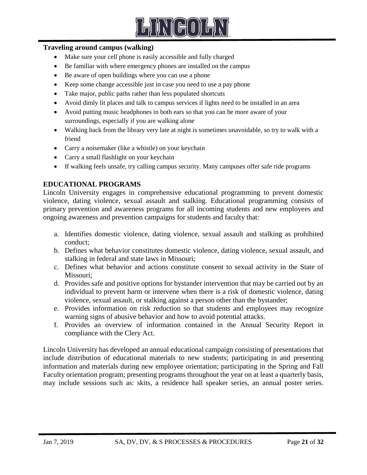

## **Traveling around campus (walking)**

- Make sure your cell phone is easily accessible and fully charged
- Be familiar with where emergency phones are installed on the campus
- Be aware of open buildings where you can use a phone
- Keep some change accessible just in case you need to use a pay phone
- Take major, public paths rather than less populated shortcuts
- Avoid dimly lit places and talk to campus services if lights need to be installed in an area
- Avoid putting music headphones in both ears so that you can be more aware of your surroundings, especially if you are walking alone
- Walking back from the library very late at night is sometimes unavoidable, so try to walk with a friend
- Carry a noisemaker (like a whistle) on your keychain
- Carry a small flashlight on your keychain
- If walking feels unsafe, try calling campus security. Many campuses offer safe ride programs

## <span id="page-20-0"></span>**EDUCATIONAL PROGRAMS**

Lincoln University engages in comprehensive educational programming to prevent domestic violence, dating violence, sexual assault and stalking. Educational programming consists of primary prevention and awareness programs for all incoming students and new employees and ongoing awareness and prevention campaigns for students and faculty that:

- a. Identifies domestic violence, dating violence, sexual assault and stalking as prohibited conduct;
- b. Defines what behavior constitutes domestic violence, dating violence, sexual assault, and stalking in federal and state laws in Missouri;
- c. Defines what behavior and actions constitute consent to sexual activity in the State of Missouri;
- d. Provides safe and positive options for bystander intervention that may be carried out by an individual to prevent harm or intervene when there is a risk of domestic violence, dating violence, sexual assault, or stalking against a person other than the bystander;
- e. Provides information on risk reduction so that students and employees may recognize warning signs of abusive behavior and how to avoid potential attacks.
- <span id="page-20-1"></span>f. Provides an overview of information contained in the Annual Security Report in compliance with the Clery Act.

Lincoln University has developed an annual educational campaign consisting of presentations that include distribution of educational materials to new students; participating in and presenting information and materials during new employee orientation; participating in the Spring and Fall Faculty orientation program; presenting programs throughout the year on at least a quarterly basis, may include sessions such as: skits, a residence hall speaker series, an annual poster series.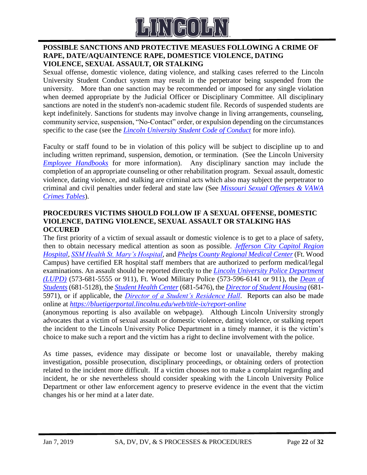

#### <span id="page-21-0"></span>**POSSIBLE SANCTIONS AND PROTECTIVE MEASUES FOLLOWING A CRIME OF RAPE, DATE/AQUAINTENCE RAPE, DOMESTICE VIOLENCE, DATING VIOLENCE, SEXUAL ASSAULT, OR STALKING**

Sexual offense, domestic violence, dating violence, and stalking cases referred to the Lincoln University Student Conduct system may result in the perpetrator being suspended from the university. More than one sanction may be recommended or imposed for any single violation when deemed appropriate by the Judicial Officer or Disciplinary Committee. All disciplinary sanctions are noted in the student's non-academic student file. Records of suspended students are kept indefinitely. Sanctions for students may involve change in living arrangements, counseling, community service, suspension, "No-Contact" order, or expulsion depending on the circumstances specific to the case (see the *[Lincoln University Student Code of Conduct](https://bluetigerportal.lincolnu.edu/web/police-department/student-conduct-code)* for more info).

Faculty or staff found to be in violation of this policy will be subject to discipline up to and including written reprimand, suspension, demotion, or termination. (See the Lincoln University *[Employee Handbooks](https://bluetigerportal.lincolnu.edu/web/human-resource-services/handbooks)* for more information). Any disciplinary sanction may include the completion of an appropriate counseling or other rehabilitation program. Sexual assault, domestic violence, dating violence, and stalking are criminal acts which also may subject the perpetrator to criminal and civil penalties under federal and state law (See *[Missouri Sexual Offenses & VAWA](https://bluetigerportal.lincolnu.edu/c/document_library/get_file?p_l_id=142227&folderId=2878707&name=DLFE-19208.pdf)  [Crimes Tables](https://bluetigerportal.lincolnu.edu/c/document_library/get_file?p_l_id=142227&folderId=2878707&name=DLFE-19208.pdf)*).

## <span id="page-21-1"></span>**PROCEDURES VICTIMS SHOULD FOLLOW IF A SEXUAL OFFENSE, DOMESTIC VIOLENCE, DATING VIOLENCE, SEXUAL ASSAULT OR STALKING HAS OCCURED**

The first priority of a victim of sexual assault or domestic violence is to get to a place of safety, then to obtain necessary medical attention as soon as possible. *[Jefferson City Capitol Region](http://www.crmc.org/contactus/)  [Hospital](http://www.crmc.org/contactus/)*, *[SSM Health St. Mary's Hospital](https://www.ssmhealth.com/locations/st-marys-hospital-jefferson-city)*, and *[Phelps County Regional Medical Center](http://www.pcrmc.com/)* (Ft. Wood Campus) have certified ER hospital staff members that are authorized to perform medical/legal examinations. An assault should be reported directly to the *[Lincoln University Police Department](https://bluetigerportal.lincolnu.edu/web/police-department/police-department)  [\(LUPD\)](https://bluetigerportal.lincolnu.edu/web/police-department/police-department)* (573-681-5555 or 911), Ft. Wood Military Police (573-596-6141 or 911), the *[Dean of](http://www.lincolnu.edu/web/office-of-student-affairs/student-affairs-staff)  [Students](http://www.lincolnu.edu/web/office-of-student-affairs/student-affairs-staff)* (681-5128), the *[Student Health Center](http://www.lincolnu.edu/web/thompkins-health-center/thompkins-health-center)* (681-5476), the *[Director of Student Housing](http://www.lincolnu.edu/web/residential-life/residence-life-staff)* (681- 5971), or if applicable, the *[Director of a Student's Residence Hall](http://www.lincolnu.edu/web/residential-life/residence-life-staff)*. Reports can also be made online at *<https://bluetigerportal.lincolnu.edu/web/title-ix/report-online>*

(anonymous reporting is also available on webpage). Although Lincoln University strongly advocates that a victim of sexual assault or domestic violence, dating violence, or stalking report the incident to the Lincoln University Police Department in a timely manner, it is the victim's choice to make such a report and the victim has a right to decline involvement with the police.

As time passes, evidence may dissipate or become lost or unavailable, thereby making investigation, possible prosecution, disciplinary proceedings, or obtaining orders of protection related to the incident more difficult. If a victim chooses not to make a complaint regarding and incident, he or she nevertheless should consider speaking with the Lincoln University Police Department or other law enforcement agency to preserve evidence in the event that the victim changes his or her mind at a later date.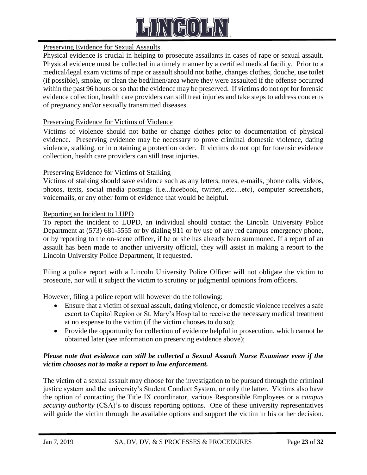

## Preserving Evidence for Sexual Assaults

Physical evidence is crucial in helping to prosecute assailants in cases of rape or sexual assault. Physical evidence must be collected in a timely manner by a certified medical facility. Prior to a medical/legal exam victims of rape or assault should not bathe, changes clothes, douche, use toilet (if possible), smoke, or clean the bed/linen/area where they were assaulted if the offense occurred within the past 96 hours or so that the evidence may be preserved. If victims do not opt for forensic evidence collection, health care providers can still treat injuries and take steps to address concerns of pregnancy and/or sexually transmitted diseases.

## Preserving Evidence for Victims of Violence

Victims of violence should not bathe or change clothes prior to documentation of physical evidence. Preserving evidence may be necessary to prove criminal domestic violence, dating violence, stalking, or in obtaining a protection order. If victims do not opt for forensic evidence collection, health care providers can still treat injuries.

#### Preserving Evidence for Victims of Stalking

Victims of stalking should save evidence such as any letters, notes, e-mails, phone calls, videos, photos, texts, social media postings (i.e...facebook, twitter,..etc…etc), computer screenshots, voicemails, or any other form of evidence that would be helpful.

## Reporting an Incident to LUPD

To report the incident to LUPD, an individual should contact the Lincoln University Police Department at (573) 681-5555 or by dialing 911 or by use of any red campus emergency phone, or by reporting to the on-scene officer, if he or she has already been summoned. If a report of an assault has been made to another university official, they will assist in making a report to the Lincoln University Police Department, if requested.

Filing a police report with a Lincoln University Police Officer will not obligate the victim to prosecute, nor will it subject the victim to scrutiny or judgmental opinions from officers.

However, filing a police report will however do the following:

- Ensure that a victim of sexual assault, dating violence, or domestic violence receives a safe escort to Capitol Region or St. Mary's Hospital to receive the necessary medical treatment at no expense to the victim (if the victim chooses to do so);
- Provide the opportunity for collection of evidence helpful in prosecution, which cannot be obtained later (see information on preserving evidence above);

## *Please note that evidence can still be collected a Sexual Assault Nurse Examiner even if the victim chooses not to make a report to law enforcement.*

The victim of a sexual assault may choose for the investigation to be pursued through the criminal justice system and the university's Student Conduct System, or only the latter. Victims also have the option of contacting the Title IX coordinator, various Responsible Employees or a *campus security authority* (CSA)'s to discuss reporting options. One of these university representatives will guide the victim through the available options and support the victim in his or her decision.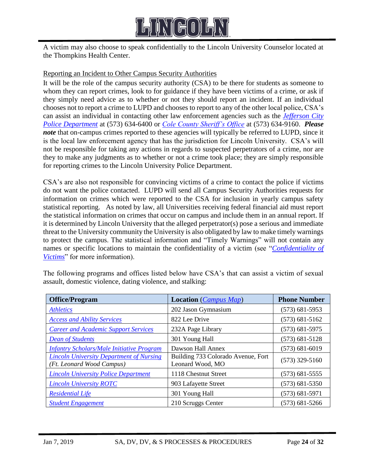

A victim may also choose to speak confidentially to the Lincoln University Counselor located at the Thompkins Health Center.

## Reporting an Incident to Other Campus Security Authorities

It will be the role of the campus security authority (CSA) to be there for students as someone to whom they can report crimes, look to for guidance if they have been victims of a crime, or ask if they simply need advice as to whether or not they should report an incident. If an individual chooses not to report a crime to LUPD and chooses to report to any of the other local police, CSA's can assist an individual in contacting other law enforcement agencies such as the *[Jefferson City](http://www.jeffcitymo.org/police/)  [Police Department](http://www.jeffcitymo.org/police/)* at (573) 634-6400 or *[Cole County Sheriff's Office](http://colecountysheriff.org/)* at (573) 634-9160. *Please note* that on-campus crimes reported to these agencies will typically be referred to LUPD, since it is the local law enforcement agency that has the jurisdiction for Lincoln University. CSA's will not be responsible for taking any actions in regards to suspected perpetrators of a crime, nor are they to make any judgments as to whether or not a crime took place; they are simply responsible for reporting crimes to the Lincoln University Police Department.

CSA's are also not responsible for convincing victims of a crime to contact the police if victims do not want the police contacted. LUPD will send all Campus Security Authorities requests for information on crimes which were reported to the CSA for inclusion in yearly campus safety statistical reporting. As noted by law, all Universities receiving federal financial aid must report the statistical information on crimes that occur on campus and include them in an annual report. If it is determined by Lincoln University that the alleged perpetrator(s) pose a serious and immediate threat to the University community the University is also obligated by law to make timely warnings to protect the campus. The statistical information and "Timely Warnings" will not contain any names or specific locations to maintain the confidentiality of a victim (see "*[Confidentiality of](#page-28-2)  [Victims](#page-28-2)*" for more information).

The following programs and offices listed below have CSA's that can assist a victim of sexual assault, domestic violence, dating violence, and stalking:

<span id="page-23-0"></span>

| <b>Office/Program</b>                                                        | <b>Location</b> ( <i>Campus Map</i> )                  | <b>Phone Number</b> |
|------------------------------------------------------------------------------|--------------------------------------------------------|---------------------|
| <b>Athletics</b>                                                             | 202 Jason Gymnasium                                    | $(573) 681 - 5953$  |
| <b>Access and Ability Services</b>                                           | 822 Lee Drive                                          | $(573) 681 - 5162$  |
| <b>Career and Academic Support Services</b>                                  | 232A Page Library                                      | $(573)$ 681-5975    |
| <b>Dean of Students</b>                                                      | 301 Young Hall                                         | $(573)$ 681-5128    |
| <b>Infantry Scholars/Male Initiative Program</b>                             | Dawson Hall Annex                                      | $(573) 681 - 6019$  |
| <b>Lincoln University Department of Nursing</b><br>(Ft. Leonard Wood Campus) | Building 733 Colorado Avenue, Fort<br>Leonard Wood, MO | $(573)$ 329-5160    |
| <b>Lincoln University Police Department</b>                                  | 1118 Chestnut Street                                   | $(573)$ 681-5555    |
| <b>Lincoln University ROTC</b>                                               | 903 Lafayette Street                                   | $(573)$ 681-5350    |
| <b>Residential Life</b>                                                      | 301 Young Hall                                         | $(573) 681 - 5971$  |
| <b>Student Engagement</b>                                                    | 210 Scruggs Center                                     | $(573)$ 681-5266    |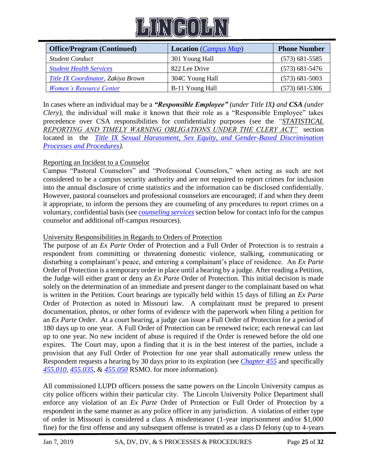

| <b>Office/Program (Continued)</b>  | <b>Location</b> ( <i>Campus Map</i> ) | <b>Phone Number</b> |
|------------------------------------|---------------------------------------|---------------------|
| <b>Student Conduct</b>             | 301 Young Hall                        | $(573)$ 681-5585    |
| <b>Student Health Services</b>     | 822 Lee Drive                         | $(573)$ 681-5476    |
| Title IX Coordinator, Zakiya Brown | 304C Young Hall                       | $(573)$ 681-5003    |
| <b>Women's Resource Center</b>     | B-11 Young Hall                       | $(573)$ 681-5306    |

In cases where an individual may be a *"Responsible Employee" (under Title IX) and CSA (under Clery)*, the individual will make it known that their role as a "Responsible Employee" takes precedence over CSA responsibilities for confidentiality purposes (see the *"STATISTICAL REPORTING AND TIMELY WARNING OBLIGATIONS UNDER THE CLERY ACT"* section located in the *[Title IX Sexual Harassment, Sex Equity, and Gender-Based Discrimination](https://bluetigerportal.lincolnu.edu/web/title-ix/10)  [Processes and Procedures\)](https://bluetigerportal.lincolnu.edu/web/title-ix/10).*

## Reporting an Incident to a Counselor

Campus "Pastoral Counselors" and "Professional Counselors," when acting as such are not considered to be a campus security authority and are not required to report crimes for inclusion into the annual disclosure of crime statistics and the information can be disclosed confidentially. However, pastoral counselors and professional counselors are encouraged; if and when they deem it appropriate, to inform the persons they are counseling of any procedures to report crimes on a voluntary, confidential basis (see *[counseling services](#page-28-3)* section below for contact info for the campus counselor and additional off-campus resources).

## University Responsibilities in Regards to Orders of Protection

The purpose of an *Ex Parte* Order of Protection and a Full Order of Protection is to restrain a respondent from committing or threatening domestic violence, stalking, communicating or disturbing a complainant's peace, and entering a complainant's place of residence. An *Ex Parte* Order of Protection is a temporary order in place until a hearing by a judge. After reading a Petition, the Judge will either grant or deny an *Ex Parte* Order of Protection. This initial decision is made solely on the determination of an immediate and present danger to the complainant based on what is written in the Petition. Court hearings are typically held within 15 days of filling an *Ex Parte* Order of Protection as noted in Missouri law. A complainant must be prepared to present documentation, photos, or other forms of evidence with the paperwork when filing a petition for an *Ex Parte* Order. At a court hearing, a judge can issue a Full Order of Protection for a period of 180 days up to one year. A Full Order of Protection can be renewed twice; each renewal can last up to one year. No new incident of abuse is required if the Order is renewed before the old one expires. The Court may, upon a finding that it is in the best interest of the parties, include a provision that any Full Order of Protection for one year shall automatically renew unless the Respondent requests a hearing by 30 days prior to its expiration (see *[Chapter 455](http://revisor.mo.gov/main/OneChapter.aspx?chapter=455)* and specifically *[455.010](http://revisor.mo.gov/main/PageSelect.aspx?section=455.010&bid=25526&hl=)*, *[455.035](http://revisor.mo.gov/main/PageSelect.aspx?section=455.035&bid=25533&hl=)*, & *[455.050](http://revisor.mo.gov/main/PageSelect.aspx?section=455.050&bid=33288&hl=)* RSMO. for more information).

All commissioned LUPD officers possess the same powers on the Lincoln University campus as city police officers within their particular city. The Lincoln University Police Department shall enforce any violation of an *Ex Parte* Order of Protection or Full Order of Protection by a respondent in the same manner as any police officer in any jurisdiction. A violation of either type of order in Missouri is considered a class A misdemeanor (1-year imprisonment and/or \$1,000 fine) for the first offense and any subsequent offense is treated as a class D felony (up to 4-years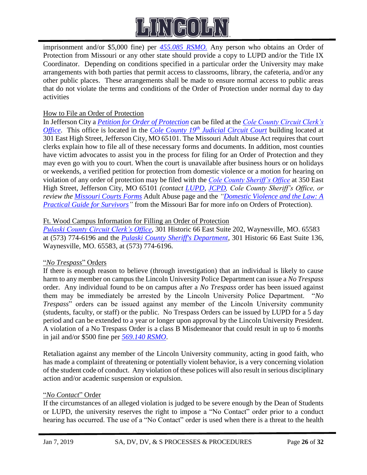

imprisonment and/or \$5,000 fine) per *[455.085 RSMO.](http://revisor.mo.gov/main/PageSelect.aspx?section=455.085&bid=25547&hl=)* Any person who obtains an Order of Protection from Missouri or any other state should provide a copy to LUPD and/or the Title IX Coordinator. Depending on conditions specified in a particular order the University may make arrangements with both parties that permit access to classrooms, library, the cafeteria, and/or any other public places. These arrangements shall be made to ensure normal access to public areas that do not violate the terms and conditions of the Order of Protection under normal day to day activities

## <span id="page-25-0"></span>How to File an Order of Protection

In Jefferson City a *[Petition for Order of Protection](http://www.courts.mo.gov/file.jsp?id=537)* can be filed at the *[Cole County Circuit Clerk's](http://www.colecountycourts.org/circuitclerk.htm)  [Office](http://www.colecountycourts.org/circuitclerk.htm)*. This office is located in the *Cole County 19<sup>th</sup> [Judicial Circuit Court](http://www.colecountycourts.org/index.htm)* building located at 301 East High Street, Jefferson City, MO 65101. The Missouri Adult Abuse Act requires that court clerks explain how to file all of these necessary forms and documents. In addition, most counties have victim advocates to assist you in the process for filing for an Order of Protection and they may even go with you to court. When the court is unavailable after business hours or on holidays or weekends, a verified petition for protection from domestic violence or a motion for hearing on violation of any order of protection may be filed with the *[Cole County Sheriff's Office](http://colecountysheriff.org/)* at 350 East High Street, Jefferson City, MO 65101 *(contact [LUPD,](https://bluetigerportal.lincolnu.edu/web/police-department/police-department) [JCPD,](http://www.jeffcitymo.org/police/) Cole County Sheriff's Office, or review the [Missouri Courts Forms](http://www.courts.mo.gov/page.jsp?id=525)* Adult Abuse page and the *["Domestic Violence and the Law: A](http://www.mobar.org/uploadedFiles/Home/Publications/Legal_Resources/Brochures_and_Booklets/domestic-violence.pdf)  [Practical Guide for Survivors"](http://www.mobar.org/uploadedFiles/Home/Publications/Legal_Resources/Brochures_and_Booklets/domestic-violence.pdf)* from the Missouri Bar for more info on Orders of Protection).

## Ft. Wood Campus Information for Filling an Order of Protection

*[Pulaski County Circuit Clerk's Office](http://www.courts.mo.gov/page.jsp?id=4756)*, 301 Historic 66 East Suite 202, Waynesville, MO. 65583 at (573) 774-6196 and the *[Pulaski County Sheriff's Department](http://www.pcsheriff2.com/)*, 301 Historic 66 East Suite 136, Waynesville, MO. 65583, at (573) 774-6196.

## "*No Trespass*" Orders

If there is enough reason to believe (through investigation) that an individual is likely to cause harm to any member on campus the Lincoln University Police Department can issue a *No Trespass* order. Any individual found to be on campus after a *No Trespass* order has been issued against them may be immediately be arrested by the Lincoln University Police Department. "*No Trespass*" orders can be issued against any member of the Lincoln University community (students, faculty, or staff) or the public. No Trespass Orders can be issued by LUPD for a 5 day period and can be extended to a year or longer upon approval by the Lincoln University President. A violation of a No Trespass Order is a class B Misdemeanor that could result in up to 6 months in jail and/or \$500 fine per *[569.140 RSMO](http://revisor.mo.gov/main/PageSelect.aspx?section=569.140&bid=29572&hl=)*.

Retaliation against any member of the Lincoln University community, acting in good faith, who has made a complaint of threatening or potentially violent behavior, is a very concerning violation of the student code of conduct. Any violation of these polices will also result in serious disciplinary action and/or academic suspension or expulsion.

## "*No Contact*" Order

If the circumstances of an alleged violation is judged to be severe enough by the Dean of Students or LUPD, the university reserves the right to impose a "No Contact" order prior to a conduct hearing has occurred. The use of a "No Contact" order is used when there is a threat to the health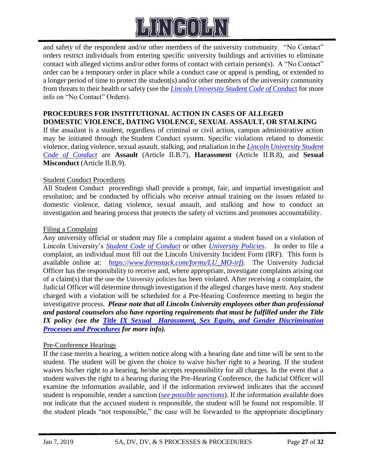

and safety of the respondent and/or other members of the university community. "No Contact" orders restrict individuals from entering specific university buildings and activities to eliminate contact with alleged victims and/or other forms of contact with certain person(s). A "No Contact" order can be a temporary order in place while a conduct case or appeal is pending, or extended to a longer period of time to protect the student(s) and/or other members of the university community from threats to their health or safety (see the *[Lincoln University Student Code of](https://bluetigerportal.lincolnu.edu/web/police-department/student-conduct-code)* Conduct for more info on "No Contact" Orders).

#### <span id="page-26-0"></span>**PROCEDURES FOR INSTITUTIONAL ACTION IN CASES OF ALLEGED DOMESTIC VIOLENCE, DATING VIOLENCE, SEXUAL ASSAULT, OR STALKING**

If the assailant is a student, regardless of criminal or civil action, campus administrative action may be initiated through the Student Conduct system. Specific violations related to domestic violence, dating violence, sexual assault, stalking, and retaliation in the *[Lincoln University Student](https://bluetigerportal.lincolnu.edu/web/police-department/student-conduct-code)  [Code of Conduct](https://bluetigerportal.lincolnu.edu/web/police-department/student-conduct-code)* are **Assault** (Article II.B.7), **Harassment** (Article II.B.8), and **Sexual Misconduct** (Article II.B.9).

## Student Conduct Procedures

All Student Conduct proceedings shall provide a prompt, fair, and impartial investigation and resolution; and be conducted by officials who receive annual training on the issues related to domestic violence, dating violence, sexual assault, and stalking and how to conduct an investigation and hearing process that protects the safety of victims and promotes accountability.

## Filing a Complaint

Any university official or student may file a complaint against a student based on a violation of Lincoln University's *[Student Code of Conduct](https://bluetigerportal.lincolnu.edu/web/police-department/student-conduct-code)* or other *[University Policies](https://bluetigerportal.lincolnu.edu/web/police-department/campus-policies)*. In order to file a complaint, an individual must fill out the Lincoln University Incident Form (IRF). This form is available online at: *[https://www.formstack.com/forms/LU\\_MO-irf\)](https://www.formstack.com/forms/LU_MO-irf)*. The University Judicial Officer has the responsibility to receive and, where appropriate, investigate complaints arising out of a claim(s) that the one the University policies has been violated. After receiving a complaint, the Judicial Officer will determine through investigation if the alleged charges have merit. Any student charged with a violation will be scheduled for a Pre-Hearing Conference meeting to begin the investigative process. *Please note that all Lincoln University employees other than professional and pastoral counselors also have reporting requirements that must be fulfilled under the Title IX policy (see the [Title IX Sexual Harassment, Sex Equity, and Gender Discrimination](https://bluetigerportal.lincolnu.edu/web/title-ix/10)  [Processes and Procedures](https://bluetigerportal.lincolnu.edu/web/title-ix/10) for more info).* 

## Pre-Conference Hearings

If the case merits a hearing, a written notice along with a hearing date and time will be sent to the student. The student will be given the choice to waive his/her right to a hearing. If the student waives his/her right to a hearing, he/she accepts responsibility for all charges. In the event that a student waives the right to a hearing during the Pre-Hearing Conference, the Judicial Officer will examine the information available, and if the information reviewed indicates that the accused student is responsible, render a sanction (*[see possible sanctions](#page-20-1)*). If the information available does not indicate that the accused student is responsible, the student will be found not responsible. If the student pleads "not responsible," the case will be forwarded to the appropriate disciplinary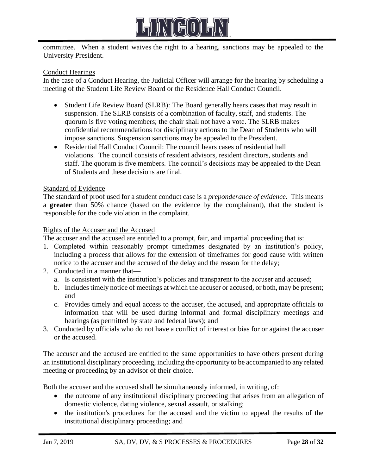

committee. When a student waives the right to a hearing, sanctions may be appealed to the University President.

## Conduct Hearings

In the case of a Conduct Hearing, the Judicial Officer will arrange for the hearing by scheduling a meeting of the Student Life Review Board or the Residence Hall Conduct Council.

- Student Life Review Board (SLRB): The Board generally hears cases that may result in suspension. The SLRB consists of a combination of faculty, staff, and students. The quorum is five voting members; the chair shall not have a vote. The SLRB makes confidential recommendations for disciplinary actions to the Dean of Students who will impose sanctions. Suspension sanctions may be appealed to the President.
- Residential Hall Conduct Council: The council hears cases of residential hall violations. The council consists of resident advisors, resident directors, students and staff. The quorum is five members. The council's decisions may be appealed to the Dean of Students and these decisions are final.

#### Standard of Evidence

The standard of proof used for a student conduct case is a *preponderance of evidence*. This means a **greater** than 50% chance (based on the evidence by the complainant), that the student is responsible for the code violation in the complaint.

#### Rights of the Accuser and the Accused

The accuser and the accused are entitled to a prompt, fair, and impartial proceeding that is:

- 1. Completed within reasonably prompt timeframes designated by an institution's policy, including a process that allows for the extension of timeframes for good cause with written notice to the accuser and the accused of the delay and the reason for the delay;
- 2. Conducted in a manner that
	- a. Is consistent with the institution's policies and transparent to the accuser and accused;
	- b. Includes timely notice of meetings at which the accuser or accused, or both, may be present; and
	- c. Provides timely and equal access to the accuser, the accused, and appropriate officials to information that will be used during informal and formal disciplinary meetings and hearings (as permitted by state and federal laws); and
- 3. Conducted by officials who do not have a conflict of interest or bias for or against the accuser or the accused.

The accuser and the accused are entitled to the same opportunities to have others present during an institutional disciplinary proceeding, including the opportunity to be accompanied to any related meeting or proceeding by an advisor of their choice.

Both the accuser and the accused shall be simultaneously informed, in writing, of:

- the outcome of any institutional disciplinary proceeding that arises from an allegation of domestic violence, dating violence, sexual assault, or stalking;
- the institution's procedures for the accused and the victim to appeal the results of the institutional disciplinary proceeding; and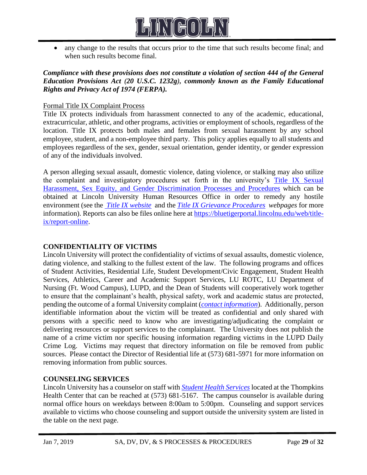

• any change to the results that occurs prior to the time that such results become final; and when such results become final.

*Compliance with these provisions does not constitute a violation of section 444 of the General Education Provisions Act (20 U.S.C. 1232g), commonly known as the Family Educational Rights and Privacy Act of 1974 (FERPA).*

## Formal Title IX Complaint Process

Title IX protects individuals from harassment connected to any of the academic, educational, extracurricular, athletic, and other programs, activities or employment of schools, regardless of the location. Title IX protects both males and females from sexual harassment by any school employee, student, and a non-employee third party. This policy applies equally to all students and employees regardless of the sex, gender, sexual orientation, gender identity, or gender expression of any of the individuals involved.

A person alleging sexual assault, domestic violence, dating violence, or stalking may also utilize the complaint and investigatory procedures set forth in the university's [Title IX Sexual](https://bluetigerportal.lincolnu.edu/web/title-ix/10)  [Harassment, Sex Equity, and Gender Discrimination Processes and Procedures](https://bluetigerportal.lincolnu.edu/web/title-ix/10) which can be obtained at Lincoln University Human Resources Office in order to remedy any hostile environment (see the *[Title IX website](https://bluetigerportal.lincolnu.edu/web/title-ix/)* and the *[Title IX Grievance Procedures](https://bluetigerportal.lincolnu.edu/web/title-ix/lu-policies/title-ix-grieveance-proc-stud.-cond.) webpages* for more information). Reports can also be files online here at [https://bluetigerportal.lincolnu.edu/web/title](https://bluetigerportal.lincolnu.edu/web/title-ix/report-online)[ix/report-online.](https://bluetigerportal.lincolnu.edu/web/title-ix/report-online)

## <span id="page-28-2"></span><span id="page-28-0"></span>**CONFIDENTIALITY OF VICTIMS**

Lincoln University will protect the confidentiality of victims of sexual assaults, domestic violence, dating violence, and stalking to the fullest extent of the law. The following programs and offices of Student Activities, Residential Life, Student Development/Civic Engagement, Student Health Services, Athletics, Career and Academic Support Services, LU ROTC, LU Department of Nursing (Ft. Wood Campus), LUPD, and the Dean of Students will cooperatively work together to ensure that the complainant's health, physical safety, work and academic status are protected, pending the outcome of a formal University complaint (*[contact information](#page-23-0)*). Additionally, person identifiable information about the victim will be treated as confidential and only shared with persons with a specific need to know who are investigating/adjudicating the complaint or delivering resources or support services to the complainant. The University does not publish the name of a crime victim nor specific housing information regarding victims in the LUPD Daily Crime Log. Victims may request that directory information on file be removed from public sources. Please contact the Director of Residential life at (573) 681-5971 for more information on removing information from public sources.

#### <span id="page-28-3"></span><span id="page-28-1"></span>**COUNSELING SERVICES**

Lincoln University has a counselor on staff with *[Student Health Services](http://www.lincolnu.edu/web/thompkins-health-center/thompkins-health-center)* located at the Thompkins Health Center that can be reached at (573) 681-5167. The campus counselor is available during normal office hours on weekdays between 8:00am to 5:00pm. Counseling and support services available to victims who choose counseling and support outside the university system are listed in the table on the next page.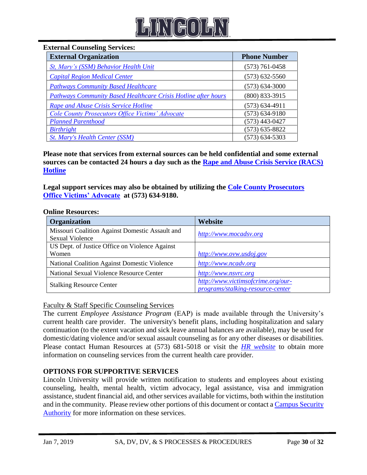

#### **External Counseling Services:**

| <b>External Organization</b>                                          | <b>Phone Number</b> |
|-----------------------------------------------------------------------|---------------------|
| <b>St, Mary's (SSM) Behavior Health Unit</b>                          | $(573) 761 - 0458$  |
| <b>Capital Region Medical Center</b>                                  | $(573) 632 - 5560$  |
| <b>Pathways Community Based Healthcare</b>                            | $(573) 634-3000$    |
| <b>Pathways Community Based Healthcare Crisis Hotline after hours</b> | $(800)$ 833-3915    |
| Rape and Abuse Crisis Service Hotline                                 | $(573) 634-4911$    |
| <b>Cole County Prosecutors Office Victims' Advocate</b>               | $(573) 634-9180$    |
| <b>Planned Parenthood</b>                                             | $(573)$ 443-0427    |
| Birthright                                                            | $(573) 635 - 8822$  |
| <b>St. Mary's Health Center (SSM)</b>                                 | (573) 634-5303      |

**Please note that services from external sources can be held confidential and some external sources can be contacted 24 hours a day such as the [Rape and Abuse Crisis Service \(RACS\)](http://www.racsjc.org/)  [Hotline](http://www.racsjc.org/)**

**Legal support services may also be obtained by utilizing the [Cole County Prosecutors](http://www.colecounty.org/546/Victim-Services)  [Office Victims' Advocate](http://www.colecounty.org/546/Victim-Services) at (573) 634-9180.**

#### **Online Resources:**

| Organization                                                              | <b>Website</b>                                                          |
|---------------------------------------------------------------------------|-------------------------------------------------------------------------|
| Missouri Coalition Against Domestic Assault and<br><b>Sexual Violence</b> | http://www.mocadsv.org                                                  |
| US Dept. of Justice Office on Violence Against                            |                                                                         |
| Women                                                                     | http://www.ovw.usdoj.gov                                                |
| National Coalition Against Domestic Violence                              | http://www.ncadv.org                                                    |
| National Sexual Violence Resource Center                                  | http://www.nsvrc.org                                                    |
| <b>Stalking Resource Center</b>                                           | http://www.victimsofcrime.org/our-<br>programs/stalking-resource-center |

Faculty & Staff Specific Counseling Services

The current *Employee Assistance Program* (EAP) is made available through the University's current health care provider. The university's benefit plans, including hospitalization and salary continuation (to the extent vacation and sick leave annual balances are available), may be used for domestic/dating violence and/or sexual assault counseling as for any other diseases or disabilities. Please contact Human Resources at (573) 681-5018 or visit the *[HR website](http://www.lincolnu.edu/web/human-resource-services)* to obtain more information on counseling services from the current health care provider.

## <span id="page-29-0"></span>**OPTIONS FOR SUPPORTIVE SERVICES**

Lincoln University will provide written notification to students and employees about existing counseling, health, mental health, victim advocacy, legal assistance, visa and immigration assistance, student financial aid, and other services available for victims, both within the institution and in the community. Please review other portions of this document or contact a [Campus Security](#page-23-0)  [Authority](#page-23-0) for more information on these services.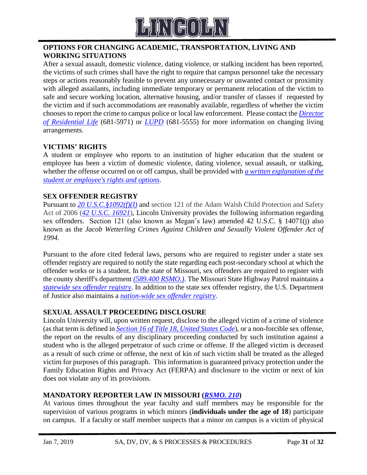

## <span id="page-30-0"></span>**OPTIONS FOR CHANGING ACADEMIC, TRANSPORTATION, LIVING AND WORKING SITUATIONS**

After a sexual assault, domestic violence, dating violence, or stalking incident has been reported, the victims of such crimes shall have the right to require that campus personnel take the necessary steps or actions reasonably feasible to prevent any unnecessary or unwanted contact or proximity with alleged assailants, including immediate temporary or permanent relocation of the victim to safe and secure working location, alternative housing, and/or transfer of classes if requested by the victim and if such accommodations are reasonably available, regardless of whether the victim chooses to report the crime to campus police or local law enforcement. Please contact the *[Director](http://www.lincolnu.edu/web/residential-life/residence-life-staff)  [of Residential Life](http://www.lincolnu.edu/web/residential-life/residence-life-staff)* (681-5971) or *[LUPD](https://bluetigerportal.lincolnu.edu/web/police-department/police-department)* (681-5555) for more information on changing living arrangements.

## <span id="page-30-1"></span>**VICTIMS' RIGHTS**

A student or employee who reports to an institution of higher education that the student or employee has been a victim of domestic violence, dating violence, sexual assault, or stalking, whether the offense occurred on or off campus, shall be provided with *[a written explanation of the](https://bluetigerportal.lincolnu.edu/c/document_library/get_file?uuid=2faf63c1-08d9-468e-8b59-44f602b18598&groupId=23376)  [student or employee's rights and options](https://bluetigerportal.lincolnu.edu/c/document_library/get_file?uuid=2faf63c1-08d9-468e-8b59-44f602b18598&groupId=23376)*.

## <span id="page-30-2"></span>**SEX OFFENDER REGISTRY**

Pursuant to *[20 U.S.C.§1092\(f\)\(I\)](http://www.gpo.gov/fdsys/pkg/USCODE-2011-title20/html/USCODE-2011-title20-chap28-subchapIV-partF-sec1092.htm)* and section 121 of the Adam Walsh Child Protection and Safety Act of 2006 (*42 [U.S.C.](http://www.gpo.gov/fdsys/pkg/USCODE-2013-title42/pdf/USCODE-2013-title42-chap151-subchapI-partA-sec16921.pdf) 16921*), Lincoln University provides the following information regarding sex offenders. Section 121 (also known as Megan's law) amended 42 U.S.C. § 14071(j) also known as the *Jacob Wetterling Crimes Against Children and Sexually Violent Offender Act of 1994*.

Pursuant to the afore cited federal laws, persons who are required to register under a state sex offender registry are required to notify the state regarding each post-secondary school at which the offender works or is a student. In the state of Missouri, sex offenders are required to register with the county sheriff's department *[\(589.400 RSMO.\)](http://www.moga.mo.gov/mostatutes/stathtml/58900004001.html)*. The Missouri State Highway Patrol maintains a *[statewide sex offender registry.](http://www.mshp.dps.mo.gov/MSHPWeb/PatrolDivisions/CRID/SOR/SORPage.html)* In addition to the state sex offender registry, the U.S. Department of Justice also maintains a *[nation-wide sex offender registry](http://www.nsopw.gov/)*.

## <span id="page-30-3"></span>**SEXUAL ASSAULT PROCEEDING DISCLOSURE**

Lincoln University will, upon written request, disclose to the alleged victim of a crime of violence (as that term is defined in *[Section 16 of Title 18, United States Code](http://www.gpo.gov/fdsys/pkg/USCODE-2011-title18/pdf/USCODE-2011-title18-partI-chap1-sec16.pdf)*), or a non-forcible sex offense, the report on the results of any disciplinary proceeding conducted by such institution against a student who is the alleged perpetrator of such crime or offense. If the alleged victim is deceased as a result of such crime or offense, the next of kin of such victim shall be treated as the alleged victim for purposes of this paragraph. This information is guaranteed privacy protection under the Family Education Rights and Privacy Act (FERPA) and disclosure to the victim or next of kin does not violate any of its provisions.

## <span id="page-30-4"></span>**MANDATORY REPORTER LAW IN MISSOURI (***[RSMO. 210](http://revisor.mo.gov/main/PageSelect.aspx?chapter=210)***)**

At various times throughout the year faculty and staff members may be responsible for the supervision of various programs in which minors (**individuals under the age of 18**) participate on campus. If a faculty or staff member suspects that a minor on campus is a victim of physical